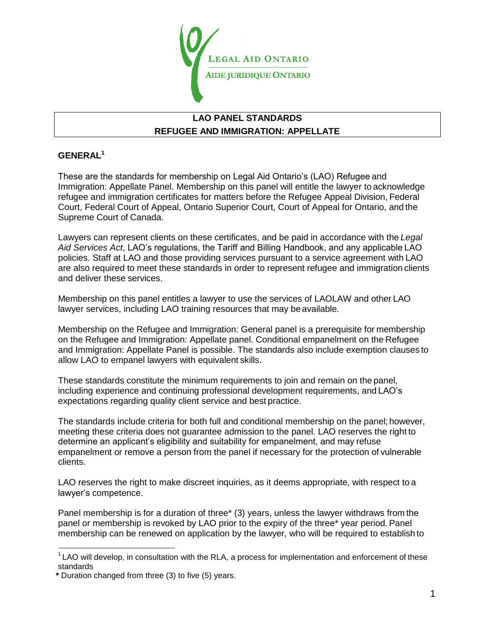

## **LAO PANEL STANDARDS REFUGEE AND IMMIGRATION: APPELLATE**

## **GENERAL[1](#page-0-0)**

These are the standards for membership on Legal Aid Ontario"s (LAO) Refugee and Immigration: Appellate Panel. Membership on this panel will entitle the lawyer to acknowledge refugee and immigration certificates for matters before the Refugee Appeal Division, Federal Court, Federal Court of Appeal, Ontario Superior Court, Court of Appeal for Ontario, and the Supreme Court of Canada.

Lawyers can represent clients on these certificates, and be paid in accordance with the *Legal Aid Services Act*, LAO"s regulations, the Tariff and Billing Handbook, and any applicable LAO policies. Staff at LAO and those providing services pursuant to a service agreement with LAO are also required to meet these standards in order to represent refugee and immigration clients and deliver these services.

Membership on this panel entitles a lawyer to use the services of LAOLAW and other LAO lawyer services, including LAO training resources that may be available*.*

Membership on the Refugee and Immigration: General panel is a prerequisite for membership on the Refugee and Immigration: Appellate panel. Conditional empanelment on the Refugee and Immigration: Appellate Panel is possible. The standards also include exemption clauses to allow LAO to empanel lawyers with equivalent skills.

These standards constitute the minimum requirements to join and remain on the panel, including experience and continuing professional development requirements, and LAO"s expectations regarding quality client service and best practice.

The standards include criteria for both full and conditional membership on the panel; however, meeting these criteria does not guarantee admission to the panel. LAO reserves the right to determine an applicant"s eligibility and suitability for empanelment, and may refuse empanelment or remove a person from the panel if necessary for the protection of vulnerable clients.

LAO reserves the right to make discreet inquiries, as it deems appropriate, with respect to a lawyer"s competence.

Panel membership is for a duration of three\* (3) years, unless the lawyer withdraws from the panel or membership is revoked by LAO prior to the expiry of the three\* year period. Panel membership can be renewed on application by the lawyer, who will be required to establish to

<span id="page-0-0"></span> $1$  LAO will develop, in consultation with the RLA, a process for implementation and enforcement of these standards

**\*** Duration changed from three (3) to five (5) years.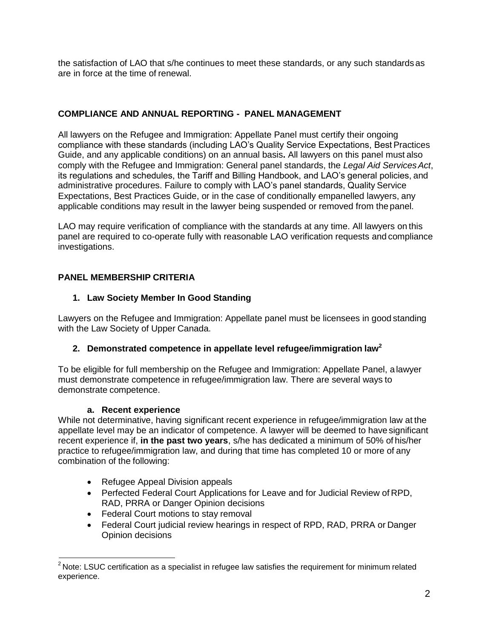the satisfaction of LAO that s/he continues to meet these standards, or any such standards as are in force at the time of renewal.

## **COMPLIANCE AND ANNUAL REPORTING - PANEL MANAGEMENT**

All lawyers on the Refugee and Immigration: Appellate Panel must certify their ongoing compliance with these standards (including LAO"s Quality Service Expectations, Best Practices Guide, and any applicable conditions) on an annual basis**.** All lawyers on this panel must also comply with the Refugee and Immigration: General panel standards, the *Legal Aid Services Act*, its regulations and schedules, the Tariff and Billing Handbook, and LAO"s general policies, and administrative procedures. Failure to comply with LAO"s panel standards, Quality Service Expectations, Best Practices Guide, or in the case of conditionally empanelled lawyers, any applicable conditions may result in the lawyer being suspended or removed from the panel.

LAO may require verification of compliance with the standards at any time. All lawyers on this panel are required to co-operate fully with reasonable LAO verification requests and compliance investigations.

## **PANEL MEMBERSHIP CRITERIA**

## **1. Law Society Member In Good Standing**

Lawyers on the Refugee and Immigration: Appellate panel must be licensees in good standing with the Law Society of Upper Canada.

## **2. Demonstrated competence in appellate level refugee/immigration la[w](#page-1-0)<sup>2</sup>**

To be eligible for full membership on the Refugee and Immigration: Appellate Panel, a lawyer must demonstrate competence in refugee/immigration law. There are several ways to demonstrate competence.

## **a. Recent experience**

While not determinative, having significant recent experience in refugee/immigration law at the appellate level may be an indicator of competence. A lawyer will be deemed to have significant recent experience if, **in the past two years**, s/he has dedicated a minimum of 50% of his/her practice to refugee/immigration law, and during that time has completed 10 or more of any combination of the following:

- Refugee Appeal Division appeals
- Perfected Federal Court Applications for Leave and for Judicial Review of RPD, RAD, PRRA or Danger Opinion decisions
- Federal Court motions to stay removal
- Federal Court judicial review hearings in respect of RPD, RAD, PRRA or Danger Opinion decisions

<span id="page-1-0"></span> $2$  Note: LSUC certification as a specialist in refugee law satisfies the requirement for minimum related experience.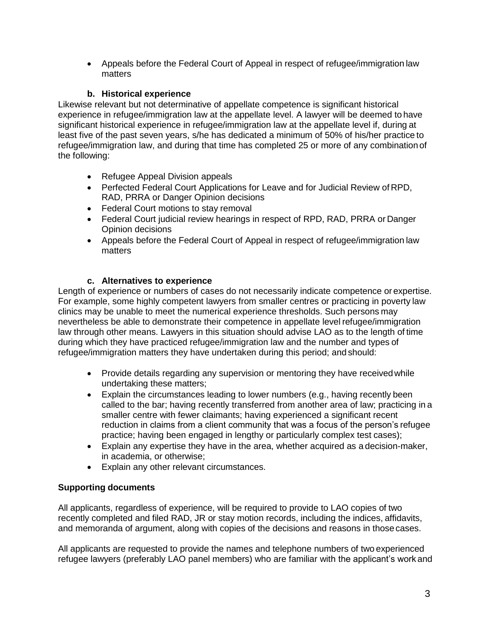Appeals before the Federal Court of Appeal in respect of refugee/immigration law matters

## **b. Historical experience**

Likewise relevant but not determinative of appellate competence is significant historical experience in refugee/immigration law at the appellate level. A lawyer will be deemed to have significant historical experience in refugee/immigration law at the appellate level if, during at least five of the past seven years, s/he has dedicated a minimum of 50% of his/her practice to refugee/immigration law, and during that time has completed 25 or more of any combination of the following:

- Refugee Appeal Division appeals
- Perfected Federal Court Applications for Leave and for Judicial Review of RPD, RAD, PRRA or Danger Opinion decisions
- Federal Court motions to stay removal
- Federal Court judicial review hearings in respect of RPD, RAD, PRRA or Danger Opinion decisions
- Appeals before the Federal Court of Appeal in respect of refugee/immigration law matters

## **c. Alternatives to experience**

Length of experience or numbers of cases do not necessarily indicate competence or expertise. For example, some highly competent lawyers from smaller centres or practicing in poverty law clinics may be unable to meet the numerical experience thresholds. Such persons may nevertheless be able to demonstrate their competence in appellate level refugee/immigration law through other means. Lawyers in this situation should advise LAO as to the length of time during which they have practiced refugee/immigration law and the number and types of refugee/immigration matters they have undertaken during this period; and should:

- Provide details regarding any supervision or mentoring they have received while undertaking these matters;
- Explain the circumstances leading to lower numbers (e.g., having recently been called to the bar; having recently transferred from another area of law; practicing in a smaller centre with fewer claimants; having experienced a significant recent reduction in claims from a client community that was a focus of the person"s refugee practice; having been engaged in lengthy or particularly complex test cases);
- Explain any expertise they have in the area, whether acquired as a decision-maker, in academia, or otherwise;
- Explain any other relevant circumstances.

# **Supporting documents**

All applicants, regardless of experience, will be required to provide to LAO copies of two recently completed and filed RAD, JR or stay motion records, including the indices, affidavits, and memoranda of argument, along with copies of the decisions and reasons in those cases.

All applicants are requested to provide the names and telephone numbers of two experienced refugee lawyers (preferably LAO panel members) who are familiar with the applicant's work and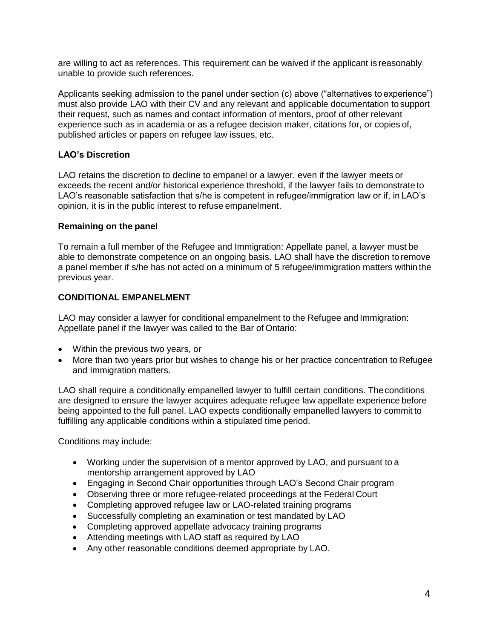are willing to act as references. This requirement can be waived if the applicant is reasonably unable to provide such references.

Applicants seeking admission to the panel under section (c) above ("alternatives to experience") must also provide LAO with their CV and any relevant and applicable documentation to support their request, such as names and contact information of mentors, proof of other relevant experience such as in academia or as a refugee decision maker, citations for, or copies of, published articles or papers on refugee law issues, etc.

## **LAO's Discretion**

LAO retains the discretion to decline to empanel or a lawyer, even if the lawyer meets or exceeds the recent and/or historical experience threshold, if the lawyer fails to demonstrate to LAO's reasonable satisfaction that s/he is competent in refugee/immigration law or if, in LAO's opinion, it is in the public interest to refuse empanelment.

#### **Remaining on the panel**

To remain a full member of the Refugee and Immigration: Appellate panel, a lawyer must be able to demonstrate competence on an ongoing basis. LAO shall have the discretion to remove a panel member if s/he has not acted on a minimum of 5 refugee/immigration matters within the previous year.

#### **CONDITIONAL EMPANELMENT**

LAO may consider a lawyer for conditional empanelment to the Refugee and Immigration: Appellate panel if the lawyer was called to the Bar of Ontario:

- Within the previous two years, or
- More than two years prior but wishes to change his or her practice concentration to Refugee and Immigration matters.

LAO shall require a conditionally empanelled lawyer to fulfill certain conditions. The conditions are designed to ensure the lawyer acquires adequate refugee law appellate experience before being appointed to the full panel. LAO expects conditionally empanelled lawyers to commit to fulfilling any applicable conditions within a stipulated time period.

Conditions may include:

- Working under the supervision of a mentor approved by LAO, and pursuant to a mentorship arrangement approved by LAO
- Engaging in Second Chair opportunities through LAO"s Second Chair program
- Observing three or more refugee-related proceedings at the Federal Court
- Completing approved refugee law or LAO-related training programs
- Successfully completing an examination or test mandated by LAO
- Completing approved appellate advocacy training programs
- Attending meetings with LAO staff as required by LAO
- Any other reasonable conditions deemed appropriate by LAO.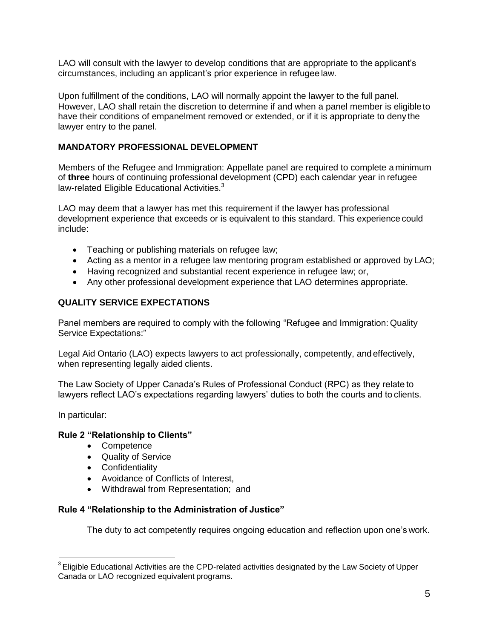LAO will consult with the lawyer to develop conditions that are appropriate to the applicant"s circumstances, including an applicant"s prior experience in refugee law.

Upon fulfillment of the conditions, LAO will normally appoint the lawyer to the full panel. However, LAO shall retain the discretion to determine if and when a panel member is eligible to have their conditions of empanelment removed or extended, or if it is appropriate to deny the lawyer entry to the panel.

## **MANDATORY PROFESSIONAL DEVELOPMENT**

Members of the Refugee and Immigration: Appellate panel are required to complete a minimum of **three** hours of continuing professional development (CPD) each calendar year in refugee law-related Eligible Educational Activities.<sup>[3](#page-4-0)</sup>

LAO may deem that a lawyer has met this requirement if the lawyer has professional development experience that exceeds or is equivalent to this standard. This experience could include:

- Teaching or publishing materials on refugee law;
- Acting as a mentor in a refugee law mentoring program established or approved by LAO;
- Having recognized and substantial recent experience in refugee law; or,
- Any other professional development experience that LAO determines appropriate.

#### **QUALITY SERVICE EXPECTATIONS**

Panel members are required to comply with the following "Refugee and Immigration: Quality Service Expectations:"

Legal Aid Ontario (LAO) expects lawyers to act professionally, competently, and effectively, when representing legally aided clients.

The Law Society of Upper Canada"s Rules of Professional Conduct (RPC) as they relate to lawyers reflect LAO's expectations regarding lawyers' duties to both the courts and to clients.

In particular:

#### **Rule 2 "Relationship to Clients"**

- Competence
- Quality of Service
- Confidentiality
- Avoidance of Conflicts of Interest,
- Withdrawal from Representation; and

#### **Rule 4 "Relationship to the Administration of Justice"**

The duty to act competently requires ongoing education and reflection upon one"s work.

<span id="page-4-0"></span><sup>&</sup>lt;sup>3</sup> Eligible Educational Activities are the CPD-related activities designated by the Law Society of Upper Canada or LAO recognized equivalent programs.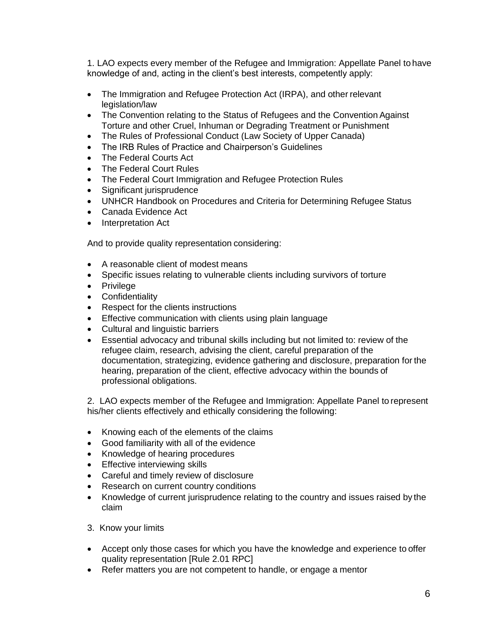1. LAO expects every member of the Refugee and Immigration: Appellate Panel to have knowledge of and, acting in the client"s best interests, competently apply:

- The Immigration and Refugee Protection Act (IRPA), and other relevant legislation/law
- The Convention relating to the Status of Refugees and the Convention Against Torture and other Cruel, Inhuman or Degrading Treatment or Punishment
- The Rules of Professional Conduct (Law Society of Upper Canada)
- The IRB Rules of Practice and Chairperson's Guidelines
- The Federal Courts Act
- The Federal Court Rules
- The Federal Court Immigration and Refugee Protection Rules
- Significant jurisprudence
- UNHCR Handbook on Procedures and Criteria for Determining Refugee Status
- Canada Evidence Act
- Interpretation Act

And to provide quality representation considering:

- A reasonable client of modest means
- Specific issues relating to vulnerable clients including survivors of torture
- Privilege
- Confidentiality
- Respect for the clients instructions
- **Effective communication with clients using plain language**
- Cultural and linguistic barriers
- Essential advocacy and tribunal skills including but not limited to: review of the refugee claim, research, advising the client, careful preparation of the documentation, strategizing, evidence gathering and disclosure, preparation for the hearing, preparation of the client, effective advocacy within the bounds of professional obligations.

2. LAO expects member of the Refugee and Immigration: Appellate Panel to represent his/her clients effectively and ethically considering the following:

- Knowing each of the elements of the claims
- Good familiarity with all of the evidence
- Knowledge of hearing procedures
- Effective interviewing skills
- Careful and timely review of disclosure
- Research on current country conditions
- Knowledge of current jurisprudence relating to the country and issues raised by the claim
- 3. Know your limits
- Accept only those cases for which you have the knowledge and experience to offer quality representation [Rule 2.01 RPC]
- Refer matters you are not competent to handle, or engage a mentor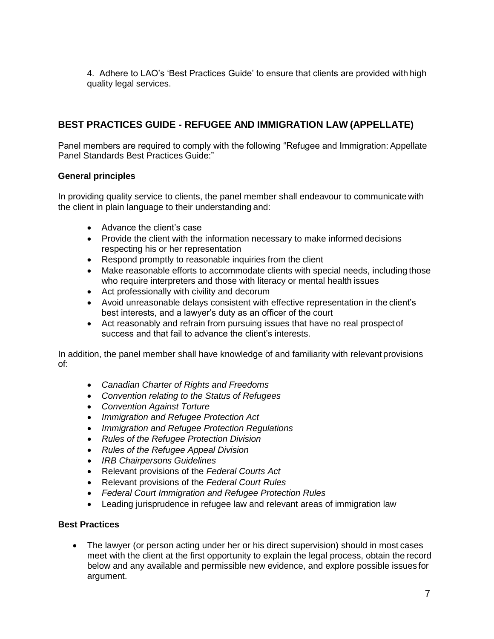4. Adhere to LAO"s "Best Practices Guide" to ensure that clients are provided with high quality legal services.

# **BEST PRACTICES GUIDE - REFUGEE AND IMMIGRATION LAW (APPELLATE)**

Panel members are required to comply with the following "Refugee and Immigration: Appellate Panel Standards Best Practices Guide:"

#### **General principles**

In providing quality service to clients, the panel member shall endeavour to communicate with the client in plain language to their understanding and:

- Advance the client's case
- Provide the client with the information necessary to make informed decisions respecting his or her representation
- Respond promptly to reasonable inquiries from the client
- Make reasonable efforts to accommodate clients with special needs, including those who require interpreters and those with literacy or mental health issues
- Act professionally with civility and decorum
- Avoid unreasonable delays consistent with effective representation in the client"s best interests, and a lawyer"s duty as an officer of the court
- Act reasonably and refrain from pursuing issues that have no real prospect of success and that fail to advance the client's interests.

In addition, the panel member shall have knowledge of and familiarity with relevant provisions of:

- *Canadian Charter of Rights and Freedoms*
- *Convention relating to the Status of Refugees*
- *Convention Against Torture*
- *Immigration and Refugee Protection Act*
- *Immigration and Refugee Protection Regulations*
- *Rules of the Refugee Protection Division*
- *Rules of the Refugee Appeal Division*
- *IRB Chairpersons Guidelines*
- Relevant provisions of the *Federal Courts Act*
- Relevant provisions of the *Federal Court Rules*
- *Federal Court Immigration and Refugee Protection Rules*
- Leading jurisprudence in refugee law and relevant areas of immigration law

#### **Best Practices**

• The lawyer (or person acting under her or his direct supervision) should in most cases meet with the client at the first opportunity to explain the legal process, obtain the record below and any available and permissible new evidence, and explore possible issues for argument.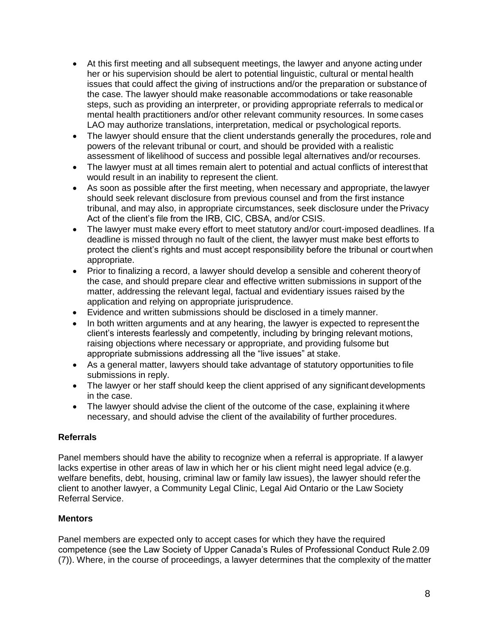- At this first meeting and all subsequent meetings, the lawyer and anyone acting under her or his supervision should be alert to potential linguistic, cultural or mental health issues that could affect the giving of instructions and/or the preparation or substance of the case. The lawyer should make reasonable accommodations or take reasonable steps, such as providing an interpreter, or providing appropriate referrals to medical or mental health practitioners and/or other relevant community resources. In some cases LAO may authorize translations, interpretation, medical or psychological reports.
- The lawyer should ensure that the client understands generally the procedures, role and powers of the relevant tribunal or court, and should be provided with a realistic assessment of likelihood of success and possible legal alternatives and/or recourses.
- The lawyer must at all times remain alert to potential and actual conflicts of interest that would result in an inability to represent the client.
- As soon as possible after the first meeting, when necessary and appropriate, the lawyer should seek relevant disclosure from previous counsel and from the first instance tribunal, and may also, in appropriate circumstances, seek disclosure under the Privacy Act of the client"s file from the IRB, CIC, CBSA, and/or CSIS.
- The lawyer must make every effort to meet statutory and/or court-imposed deadlines. If a deadline is missed through no fault of the client, the lawyer must make best efforts to protect the client"s rights and must accept responsibility before the tribunal or court when appropriate.
- Prior to finalizing a record, a lawyer should develop a sensible and coherent theory of the case, and should prepare clear and effective written submissions in support of the matter, addressing the relevant legal, factual and evidentiary issues raised by the application and relying on appropriate jurisprudence.
- Evidence and written submissions should be disclosed in a timely manner.
- In both written arguments and at any hearing, the lawyer is expected to represent the client"s interests fearlessly and competently, including by bringing relevant motions, raising objections where necessary or appropriate, and providing fulsome but appropriate submissions addressing all the "live issues" at stake.
- As a general matter, lawyers should take advantage of statutory opportunities to file submissions in reply.
- The lawyer or her staff should keep the client apprised of any significant developments in the case.
- The lawyer should advise the client of the outcome of the case, explaining it where necessary, and should advise the client of the availability of further procedures.

## **Referrals**

Panel members should have the ability to recognize when a referral is appropriate. If a lawyer lacks expertise in other areas of law in which her or his client might need legal advice (e.g. welfare benefits, debt, housing, criminal law or family law issues), the lawyer should refer the client to another lawyer, a Community Legal Clinic, Legal Aid Ontario or the Law Society Referral Service.

#### **Mentors**

Panel members are expected only to accept cases for which they have the required competence (see the Law Society of Upper Canada"s Rules of Professional Conduct Rule 2.09 (7)). Where, in the course of proceedings, a lawyer determines that the complexity of the matter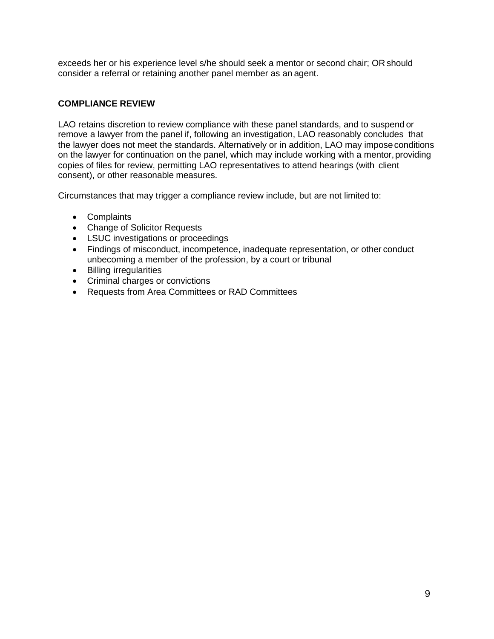exceeds her or his experience level s/he should seek a mentor or second chair; OR should consider a referral or retaining another panel member as an agent.

## **COMPLIANCE REVIEW**

LAO retains discretion to review compliance with these panel standards, and to suspend or remove a lawyer from the panel if, following an investigation, LAO reasonably concludes that the lawyer does not meet the standards. Alternatively or in addition, LAO may impose conditions on the lawyer for continuation on the panel, which may include working with a mentor, providing copies of files for review, permitting LAO representatives to attend hearings (with client consent), or other reasonable measures.

Circumstances that may trigger a compliance review include, but are not limited to:

- Complaints
- Change of Solicitor Requests
- LSUC investigations or proceedings
- Findings of misconduct, incompetence, inadequate representation, or other conduct unbecoming a member of the profession, by a court or tribunal
- Billing irregularities
- Criminal charges or convictions
- Requests from Area Committees or RAD Committees